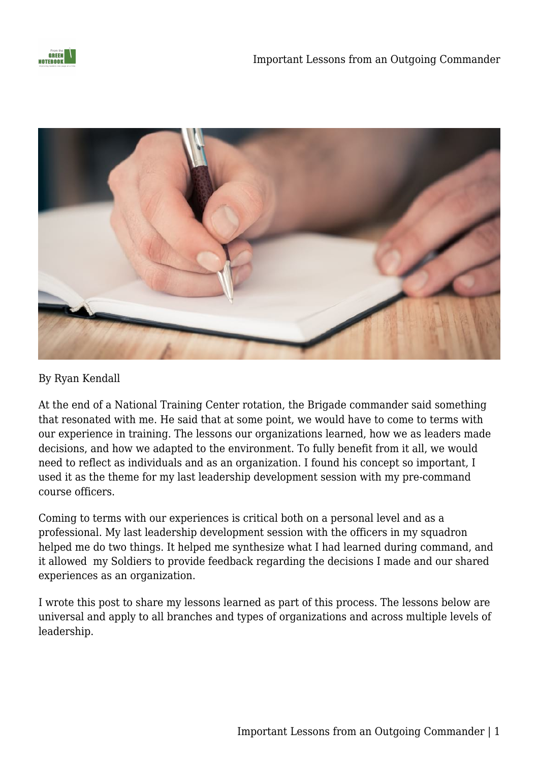



#### By Ryan Kendall

At the end of a National Training Center rotation, the Brigade commander said something that resonated with me. He said that at some point, we would have to come to terms with our experience in training. The lessons our organizations learned, how we as leaders made decisions, and how we adapted to the environment. To fully benefit from it all, we would need to reflect as individuals and as an organization. I found his concept so important, I used it as the theme for my last leadership development session with my pre-command course officers.

Coming to terms with our experiences is critical both on a personal level and as a professional. My last leadership development session with the officers in my squadron helped me do two things. It helped me synthesize what I had learned during command, and it allowed my Soldiers to provide feedback regarding the decisions I made and our shared experiences as an organization.

I wrote this post to share my lessons learned as part of this process. The lessons below are universal and apply to all branches and types of organizations and across multiple levels of leadership.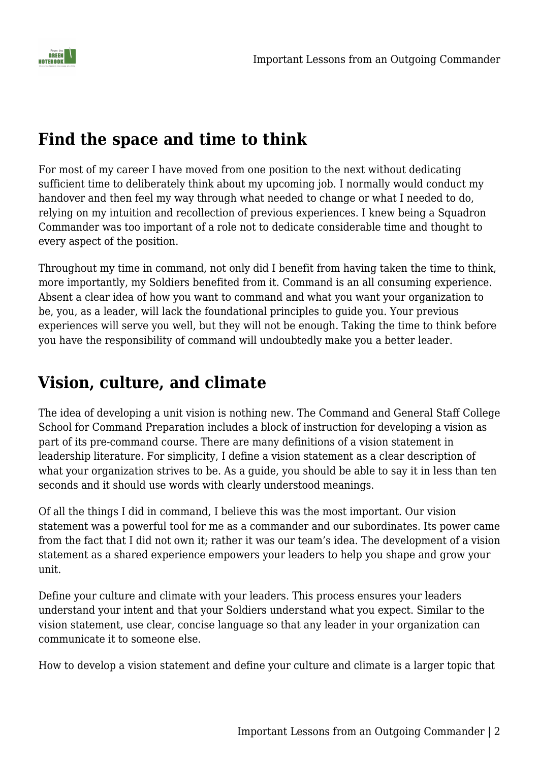

#### **Find the space and time to think**

For most of my career I have moved from one position to the next without dedicating sufficient time to deliberately think about my upcoming job. I normally would conduct my handover and then feel my way through what needed to change or what I needed to do, relying on my intuition and recollection of previous experiences. I knew being a Squadron Commander was too important of a role not to dedicate considerable time and thought to every aspect of the position.

Throughout my time in command, not only did I benefit from having taken the time to think, more importantly, my Soldiers benefited from it. Command is an all consuming experience. Absent a clear idea of how you want to command and what you want your organization to be, you, as a leader, will lack the foundational principles to guide you. Your previous experiences will serve you well, but they will not be enough. Taking the time to think before you have the responsibility of command will undoubtedly make you a better leader.

## **Vision, culture, and climate**

The idea of developing a unit vision is nothing new. The Command and General Staff College School for Command Preparation includes a block of instruction for developing a vision as part of its pre-command course. There are many definitions of a vision statement in leadership literature. For simplicity, I define a vision statement as a clear description of what your organization strives to be. As a guide, you should be able to say it in less than ten seconds and it should use words with clearly understood meanings.

Of all the things I did in command, I believe this was the most important. Our vision statement was a powerful tool for me as a commander and our subordinates. Its power came from the fact that I did not own it; rather it was our team's idea. The development of a vision statement as a shared experience empowers your leaders to help you shape and grow your unit.

Define your culture and climate with your leaders. This process ensures your leaders understand your intent and that your Soldiers understand what you expect. Similar to the vision statement, use clear, concise language so that any leader in your organization can communicate it to someone else.

How to develop a vision statement and define your culture and climate is a larger topic that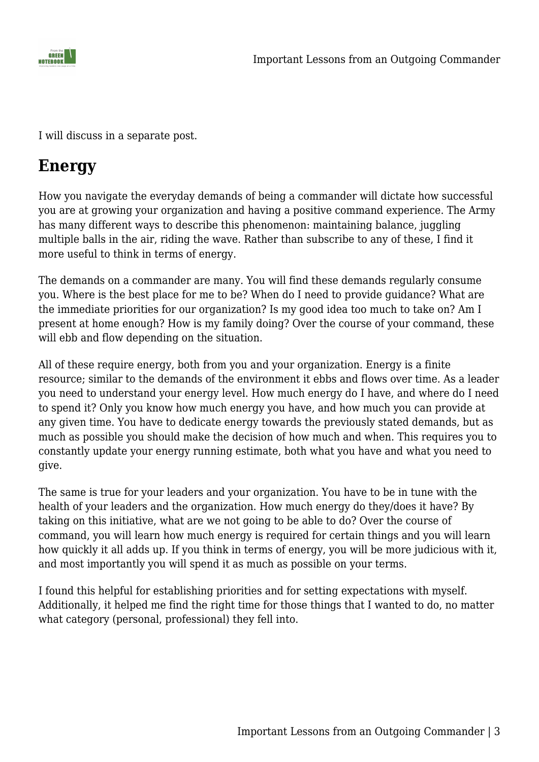

I will discuss in a separate post.

#### **Energy**

How you navigate the everyday demands of being a commander will dictate how successful you are at growing your organization and having a positive command experience. The Army has many different ways to describe this phenomenon: maintaining balance, juggling multiple balls in the air, riding the wave. Rather than subscribe to any of these, I find it more useful to think in terms of energy.

The demands on a commander are many. You will find these demands regularly consume you. Where is the best place for me to be? When do I need to provide guidance? What are the immediate priorities for our organization? Is my good idea too much to take on? Am I present at home enough? How is my family doing? Over the course of your command, these will ebb and flow depending on the situation.

All of these require energy, both from you and your organization. Energy is a finite resource; similar to the demands of the environment it ebbs and flows over time. As a leader you need to understand your energy level. How much energy do I have, and where do I need to spend it? Only you know how much energy you have, and how much you can provide at any given time. You have to dedicate energy towards the previously stated demands, but as much as possible you should make the decision of how much and when. This requires you to constantly update your energy running estimate, both what you have and what you need to give.

The same is true for your leaders and your organization. You have to be in tune with the health of your leaders and the organization. How much energy do they/does it have? By taking on this initiative, what are we not going to be able to do? Over the course of command, you will learn how much energy is required for certain things and you will learn how quickly it all adds up. If you think in terms of energy, you will be more judicious with it, and most importantly you will spend it as much as possible on your terms.

I found this helpful for establishing priorities and for setting expectations with myself. Additionally, it helped me find the right time for those things that I wanted to do, no matter what category (personal, professional) they fell into.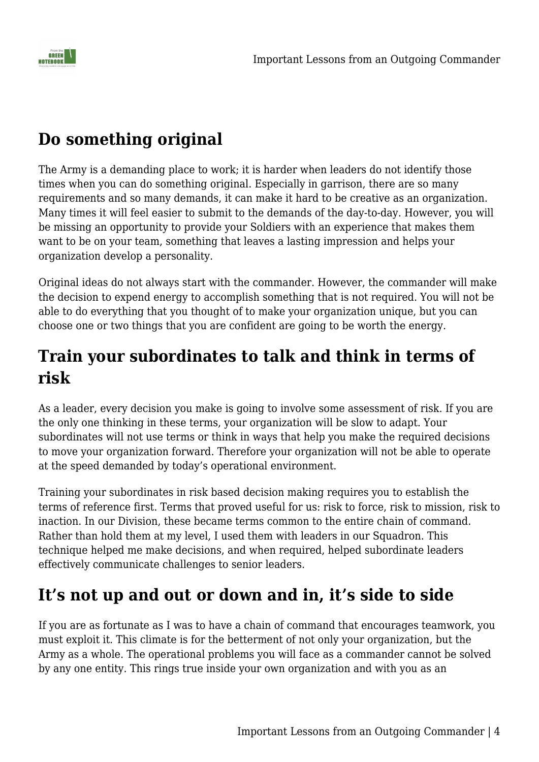

# **Do something original**

The Army is a demanding place to work; it is harder when leaders do not identify those times when you can do something original. Especially in garrison, there are so many requirements and so many demands, it can make it hard to be creative as an organization. Many times it will feel easier to submit to the demands of the day-to-day. However, you will be missing an opportunity to provide your Soldiers with an experience that makes them want to be on your team, something that leaves a lasting impression and helps your organization develop a personality.

Original ideas do not always start with the commander. However, the commander will make the decision to expend energy to accomplish something that is not required. You will not be able to do everything that you thought of to make your organization unique, but you can choose one or two things that you are confident are going to be worth the energy.

## **Train your subordinates to talk and think in terms of risk**

As a leader, every decision you make is going to involve some assessment of risk. If you are the only one thinking in these terms, your organization will be slow to adapt. Your subordinates will not use terms or think in ways that help you make the required decisions to move your organization forward. Therefore your organization will not be able to operate at the speed demanded by today's operational environment.

Training your subordinates in risk based decision making requires you to establish the terms of reference first. Terms that proved useful for us: risk to force, risk to mission, risk to inaction. In our Division, these became terms common to the entire chain of command. Rather than hold them at my level, I used them with leaders in our Squadron. This technique helped me make decisions, and when required, helped subordinate leaders effectively communicate challenges to senior leaders.

# **It's not up and out or down and in, it's side to side**

If you are as fortunate as I was to have a chain of command that encourages teamwork, you must exploit it. This climate is for the betterment of not only your organization, but the Army as a whole. The operational problems you will face as a commander cannot be solved by any one entity. This rings true inside your own organization and with you as an